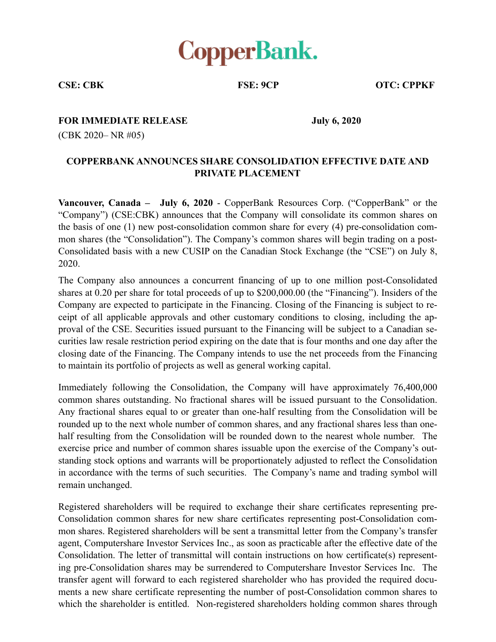

**CSE: CBK FSE: 9CP OTC: CPPKF** 

**FOR IMMEDIATE RELEASE July 6, 2020** 

(CBK 2020– NR #05)

## **COPPERBANK ANNOUNCES SHARE CONSOLIDATION EFFECTIVE DATE AND PRIVATE PLACEMENT**

**Vancouver, Canada – July 6, 2020** - CopperBank Resources Corp. ("CopperBank" or the "Company") (CSE:CBK) announces that the Company will consolidate its common shares on the basis of one (1) new post-consolidation common share for every (4) pre-consolidation common shares (the "Consolidation"). The Company's common shares will begin trading on a post-Consolidated basis with a new CUSIP on the Canadian Stock Exchange (the "CSE") on July 8, 2020.

The Company also announces a concurrent financing of up to one million post-Consolidated shares at 0.20 per share for total proceeds of up to \$200,000.00 (the "Financing"). Insiders of the Company are expected to participate in the Financing. Closing of the Financing is subject to receipt of all applicable approvals and other customary conditions to closing, including the approval of the CSE. Securities issued pursuant to the Financing will be subject to a Canadian securities law resale restriction period expiring on the date that is four months and one day after the closing date of the Financing. The Company intends to use the net proceeds from the Financing to maintain its portfolio of projects as well as general working capital.

Immediately following the Consolidation, the Company will have approximately 76,400,000 common shares outstanding. No fractional shares will be issued pursuant to the Consolidation. Any fractional shares equal to or greater than one-half resulting from the Consolidation will be rounded up to the next whole number of common shares, and any fractional shares less than onehalf resulting from the Consolidation will be rounded down to the nearest whole number. The exercise price and number of common shares issuable upon the exercise of the Company's outstanding stock options and warrants will be proportionately adjusted to reflect the Consolidation in accordance with the terms of such securities. The Company's name and trading symbol will remain unchanged.

Registered shareholders will be required to exchange their share certificates representing pre-Consolidation common shares for new share certificates representing post-Consolidation common shares. Registered shareholders will be sent a transmittal letter from the Company's transfer agent, Computershare Investor Services Inc., as soon as practicable after the effective date of the Consolidation. The letter of transmittal will contain instructions on how certificate(s) representing pre-Consolidation shares may be surrendered to Computershare Investor Services Inc. The transfer agent will forward to each registered shareholder who has provided the required documents a new share certificate representing the number of post-Consolidation common shares to which the shareholder is entitled. Non-registered shareholders holding common shares through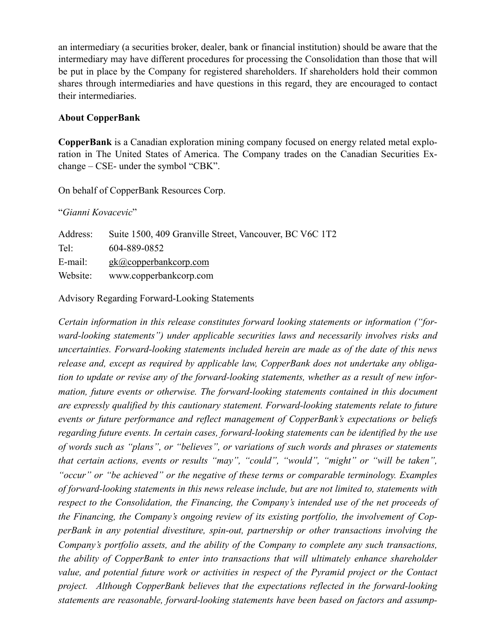an intermediary (a securities broker, dealer, bank or financial institution) should be aware that the intermediary may have different procedures for processing the Consolidation than those that will be put in place by the Company for registered shareholders. If shareholders hold their common shares through intermediaries and have questions in this regard, they are encouraged to contact their intermediaries.

## **About CopperBank**

**CopperBank** is a Canadian exploration mining company focused on energy related metal exploration in The United States of America. The Company trades on the Canadian Securities Exchange – CSE- under the symbol "CBK".

On behalf of CopperBank Resources Corp.

"*Gianni Kovacevic*"

| Address: | Suite 1500, 409 Granville Street, Vancouver, BC V6C 1T2 |
|----------|---------------------------------------------------------|
| Tel:     | 604-889-0852                                            |
| E-mail:  | $gk(\partial \text{copperbankcorp.com})$                |
| Website: | www.copperbankcorp.com                                  |

Advisory Regarding Forward-Looking Statements

*Certain information in this release constitutes forward looking statements or information ("forward-looking statements") under applicable securities laws and necessarily involves risks and uncertainties. Forward-looking statements included herein are made as of the date of this news release and, except as required by applicable law, CopperBank does not undertake any obligation to update or revise any of the forward-looking statements, whether as a result of new information, future events or otherwise. The forward-looking statements contained in this document are expressly qualified by this cautionary statement. Forward-looking statements relate to future events or future performance and reflect management of CopperBank's expectations or beliefs regarding future events. In certain cases, forward-looking statements can be identified by the use of words such as "plans", or "believes", or variations of such words and phrases or statements that certain actions, events or results "may", "could", "would", "might" or "will be taken", "occur" or "be achieved" or the negative of these terms or comparable terminology. Examples of forward-looking statements in this news release include, but are not limited to, statements with respect to the Consolidation, the Financing, the Company's intended use of the net proceeds of the Financing, the Company's ongoing review of its existing portfolio, the involvement of CopperBank in any potential divestiture, spin-out, partnership or other transactions involving the Company's portfolio assets, and the ability of the Company to complete any such transactions, the ability of CopperBank to enter into transactions that will ultimately enhance shareholder value, and potential future work or activities in respect of the Pyramid project or the Contact project. Although CopperBank believes that the expectations reflected in the forward-looking statements are reasonable, forward-looking statements have been based on factors and assump-*